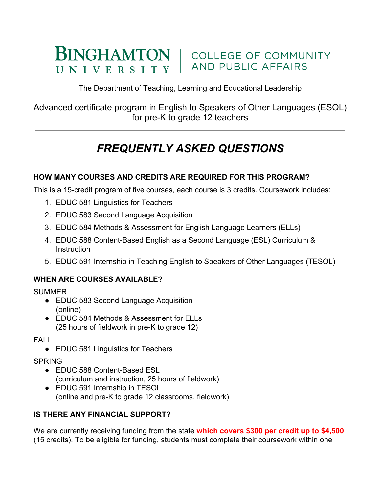#### **BINGHAMTON COLLEGE OF COMMUNITY AND PUBLIC AFFAIRS** UNIVERSITY

The Department of Teaching, Learning and Educational Leadership

### Advanced certificate program in English to Speakers of Other Languages (ESOL) for pre-K to grade 12 teachers

# *FREQUENTLY ASKED QUESTIONS*

#### **HOW MANY COURSES AND CREDITS ARE REQUIRED FOR THIS PROGRAM?**

This is a 15-credit program of five courses, each course is 3 credits. Coursework includes:

- 1. EDUC 581 Linguistics for Teachers
- 2. EDUC 583 Second Language Acquisition
- 3. EDUC 584 Methods & Assessment for English Language Learners (ELLs)
- 4. EDUC 588 Content-Based English as a Second Language (ESL) Curriculum & **Instruction**
- 5. EDUC 591 Internship in Teaching English to Speakers of Other Languages (TESOL)

#### **WHEN ARE COURSES AVAILABLE?**

SUMMER

- EDUC 583 Second Language Acquisition (online)
- EDUC 584 Methods & Assessment for ELLs (25 hours of fieldwork in pre-K to grade 12)

FALL

● EDUC 581 Linguistics for Teachers

#### SPRING

- EDUC 588 Content-Based ESL (curriculum and instruction, 25 hours of fieldwork)
- EDUC 591 Internship in TESOL (online and pre-K to grade 12 classrooms, fieldwork)

#### **IS THERE ANY FINANCIAL SUPPORT?**

We are currently receiving funding from the state **which covers \$300 per credit up to \$4,500** (15 credits). To be eligible for funding, students must complete their coursework within one